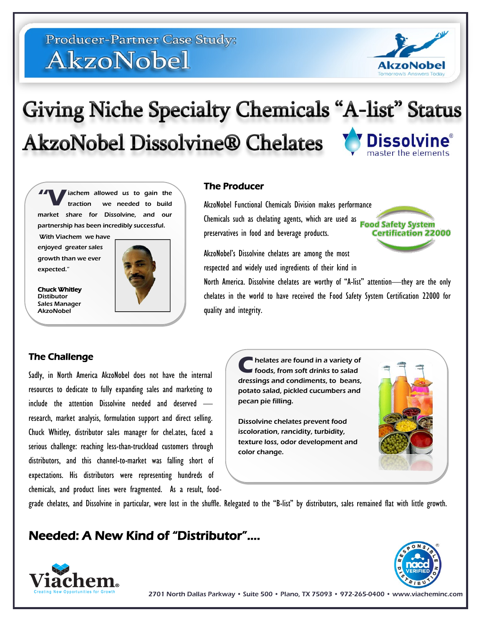# **Producer-Partner Case Study:** AkzoNobel



# **Giving Niche Specialty Chemicals "A-list" Status AkzoNobel Dissolvine® Chelates Dissolvine**®

iachem allowed us to gain the<br>traction we needed to build we needed to build market share for Dissolvine, and our partnership has been incredibly successful.

With Viachem we have enjoyed greater sales growth than we ever expected."

Chuck Whitley Distibutor Sales Manager **AkzoNobel** 



### The Producer

AkzoNobel Functional Chemicals Division makes performance Chemicals such as chelating agents, which are used as Food Safety System preservatives in food and beverage products.

**Certification 22000** 

AkzoNobel's Dissolvine chelates are among the most respected and widely used ingredients of their kind in

North America. Dissolvine chelates are worthy of "A-list" attention—they are the only chelates in the world to have received the Food Safety System Certification 22000 for quality and integrity.

## The Challenge

Sadly, in North America AkzoNobel does not have the internal resources to dedicate to fully expanding sales and marketing to include the attention Dissolvine needed and deserved research, market analysis, formulation support and direct selling. Chuck Whitley, distributor sales manager for chel.ates, faced a serious challenge: reaching less-than-truckload customers through distributors, and this channel-to-market was falling short of expectations. His distributors were representing hundreds of chemicals, and product lines were fragmented. As a result, food-



grade chelates, and Dissolvine in particular, were lost in the shuffle. Relegated to the "B-list" by distributors, sales remained flat with little growth.

**C**

color change.

## Needed: A New Kind of "Distributor"….